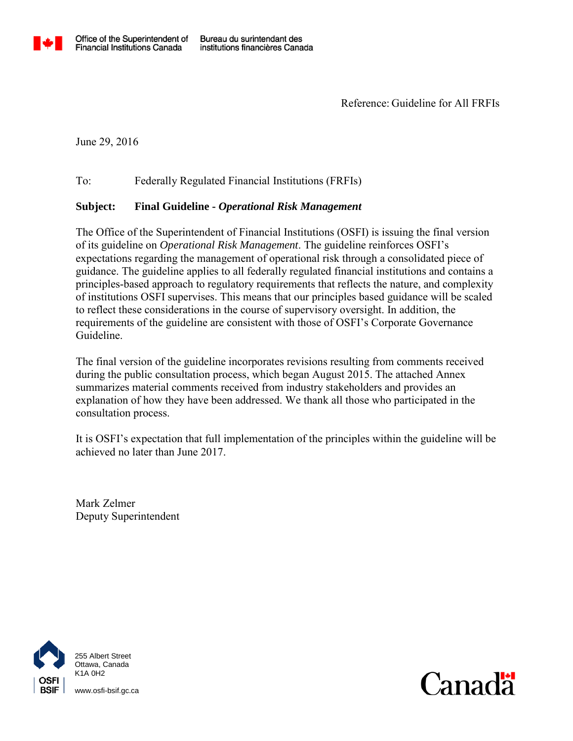

Reference: Guideline for All FRFIs

June 29, 2016

To: Federally Regulated Financial Institutions (FRFIs)

## **Subject: Final Guideline -** *Operational Risk Management*

The Office of the Superintendent of Financial Institutions (OSFI) is issuing the final version of its guideline on *Operational Risk Management*. The guideline reinforces OSFI's expectations regarding the management of operational risk through a consolidated piece of guidance. The guideline applies to all federally regulated financial institutions and contains a principles-based approach to regulatory requirements that reflects the nature, and complexity of institutions OSFI supervises. This means that our principles based guidance will be scaled to reflect these considerations in the course of supervisory oversight. In addition, the requirements of the guideline are consistent with those of OSFI's Corporate Governance Guideline.

The final version of the guideline incorporates revisions resulting from comments received during the public consultation process, which began August 2015. The attached Annex summarizes material comments received from industry stakeholders and provides an explanation of how they have been addressed. We thank all those who participated in the consultation process.

It is OSFI's expectation that full implementation of the principles within the guideline will be achieved no later than June 2017.

Mark Zelmer Deputy Superintendent



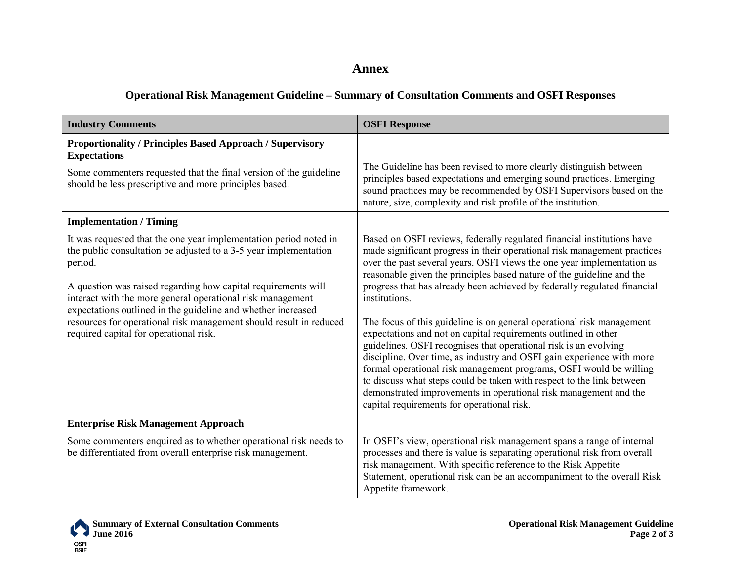## **Annex**

## **Operational Risk Management Guideline – Summary of Consultation Comments and OSFI Responses**

| <b>Industry Comments</b>                                                                                                                                                                                                                                                                                                                                                                                                                                        | <b>OSFI Response</b>                                                                                                                                                                                                                                                                                                                                                                                                                                                                                                                                                                                                                                                                                                                                                                                                                                                                                                                                        |
|-----------------------------------------------------------------------------------------------------------------------------------------------------------------------------------------------------------------------------------------------------------------------------------------------------------------------------------------------------------------------------------------------------------------------------------------------------------------|-------------------------------------------------------------------------------------------------------------------------------------------------------------------------------------------------------------------------------------------------------------------------------------------------------------------------------------------------------------------------------------------------------------------------------------------------------------------------------------------------------------------------------------------------------------------------------------------------------------------------------------------------------------------------------------------------------------------------------------------------------------------------------------------------------------------------------------------------------------------------------------------------------------------------------------------------------------|
| Proportionality / Principles Based Approach / Supervisory<br><b>Expectations</b>                                                                                                                                                                                                                                                                                                                                                                                |                                                                                                                                                                                                                                                                                                                                                                                                                                                                                                                                                                                                                                                                                                                                                                                                                                                                                                                                                             |
| Some commenters requested that the final version of the guideline<br>should be less prescriptive and more principles based.                                                                                                                                                                                                                                                                                                                                     | The Guideline has been revised to more clearly distinguish between<br>principles based expectations and emerging sound practices. Emerging<br>sound practices may be recommended by OSFI Supervisors based on the<br>nature, size, complexity and risk profile of the institution.                                                                                                                                                                                                                                                                                                                                                                                                                                                                                                                                                                                                                                                                          |
| <b>Implementation / Timing</b>                                                                                                                                                                                                                                                                                                                                                                                                                                  |                                                                                                                                                                                                                                                                                                                                                                                                                                                                                                                                                                                                                                                                                                                                                                                                                                                                                                                                                             |
| It was requested that the one year implementation period noted in<br>the public consultation be adjusted to a 3-5 year implementation<br>period.<br>A question was raised regarding how capital requirements will<br>interact with the more general operational risk management<br>expectations outlined in the guideline and whether increased<br>resources for operational risk management should result in reduced<br>required capital for operational risk. | Based on OSFI reviews, federally regulated financial institutions have<br>made significant progress in their operational risk management practices<br>over the past several years. OSFI views the one year implementation as<br>reasonable given the principles based nature of the guideline and the<br>progress that has already been achieved by federally regulated financial<br>institutions.<br>The focus of this guideline is on general operational risk management<br>expectations and not on capital requirements outlined in other<br>guidelines. OSFI recognises that operational risk is an evolving<br>discipline. Over time, as industry and OSFI gain experience with more<br>formal operational risk management programs, OSFI would be willing<br>to discuss what steps could be taken with respect to the link between<br>demonstrated improvements in operational risk management and the<br>capital requirements for operational risk. |
| <b>Enterprise Risk Management Approach</b>                                                                                                                                                                                                                                                                                                                                                                                                                      |                                                                                                                                                                                                                                                                                                                                                                                                                                                                                                                                                                                                                                                                                                                                                                                                                                                                                                                                                             |
| Some commenters enquired as to whether operational risk needs to<br>be differentiated from overall enterprise risk management.                                                                                                                                                                                                                                                                                                                                  | In OSFI's view, operational risk management spans a range of internal<br>processes and there is value is separating operational risk from overall<br>risk management. With specific reference to the Risk Appetite<br>Statement, operational risk can be an accompaniment to the overall Risk<br>Appetite framework.                                                                                                                                                                                                                                                                                                                                                                                                                                                                                                                                                                                                                                        |